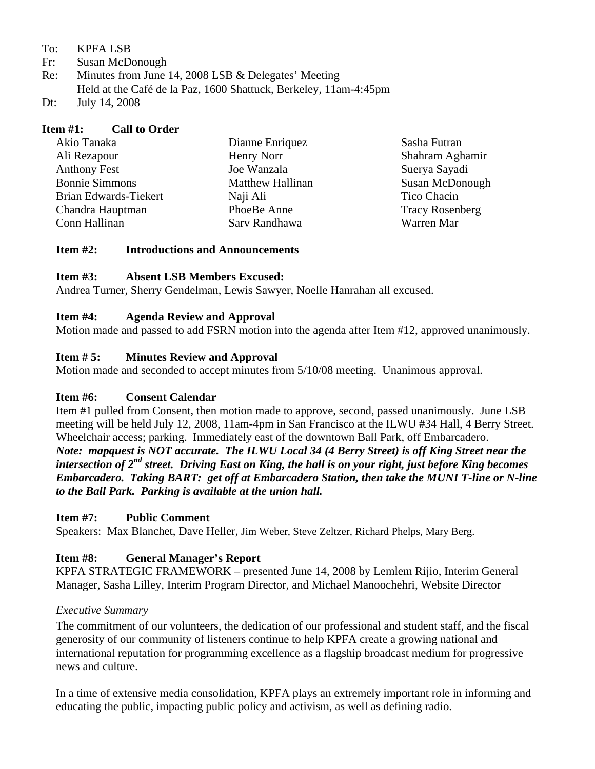To: KPFA LSB

- Fr: Susan McDonough
- Re: Minutes from June 14, 2008 LSB & Delegates' Meeting Held at the Café de la Paz, 1600 Shattuck, Berkeley, 11am-4:45pm
- Dt: July 14, 2008

| <b>Item #1:</b> Call to Order |                         |                        |
|-------------------------------|-------------------------|------------------------|
| Akio Tanaka                   | Dianne Enriquez         | Sasha Futran           |
| Ali Rezapour                  | Henry Norr              | Shahram Aghamir        |
| <b>Anthony Fest</b>           | Joe Wanzala             | Suerya Sayadi          |
| <b>Bonnie Simmons</b>         | <b>Matthew Hallinan</b> | Susan McDonough        |
| Brian Edwards-Tiekert         | Naji Ali                | Tico Chacin            |
| Chandra Hauptman              | PhoeBe Anne             | <b>Tracy Rosenberg</b> |
| Conn Hallinan                 | Sarv Randhawa           | Warren Mar             |
|                               |                         |                        |

#### **Item #2: Introductions and Announcements**

#### **Item #3: Absent LSB Members Excused:**

Andrea Turner, Sherry Gendelman, Lewis Sawyer, Noelle Hanrahan all excused.

#### **Item #4: Agenda Review and Approval**

Motion made and passed to add FSRN motion into the agenda after Item #12, approved unanimously.

### **Item # 5: Minutes Review and Approval**

Motion made and seconded to accept minutes from 5/10/08 meeting. Unanimous approval.

### **Item #6: Consent Calendar**

Item #1 pulled from Consent, then motion made to approve, second, passed unanimously. June LSB meeting will be held July 12, 2008, 11am-4pm in San Francisco at the ILWU #34 Hall, 4 Berry Street. Wheelchair access; parking. Immediately east of the downtown Ball Park, off Embarcadero. *Note: mapquest is NOT accurate. The ILWU Local 34 (4 Berry Street) is off King Street near the intersection of 2nd street. Driving East on King, the hall is on your right, just before King becomes Embarcadero. Taking BART: get off at Embarcadero Station, then take the MUNI T-line or N-line to the Ball Park. Parking is available at the union hall.*

### **Item #7: Public Comment**

Speakers: Max Blanchet, Dave Heller, Jim Weber, Steve Zeltzer, Richard Phelps, Mary Berg.

### **Item #8: General Manager's Report**

KPFA STRATEGIC FRAMEWORK – presented June 14, 2008 by Lemlem Rijio, Interim General Manager, Sasha Lilley, Interim Program Director, and Michael Manoochehri, Website Director

### *Executive Summary*

The commitment of our volunteers, the dedication of our professional and student staff, and the fiscal generosity of our community of listeners continue to help KPFA create a growing national and international reputation for programming excellence as a flagship broadcast medium for progressive news and culture.

In a time of extensive media consolidation, KPFA plays an extremely important role in informing and educating the public, impacting public policy and activism, as well as defining radio.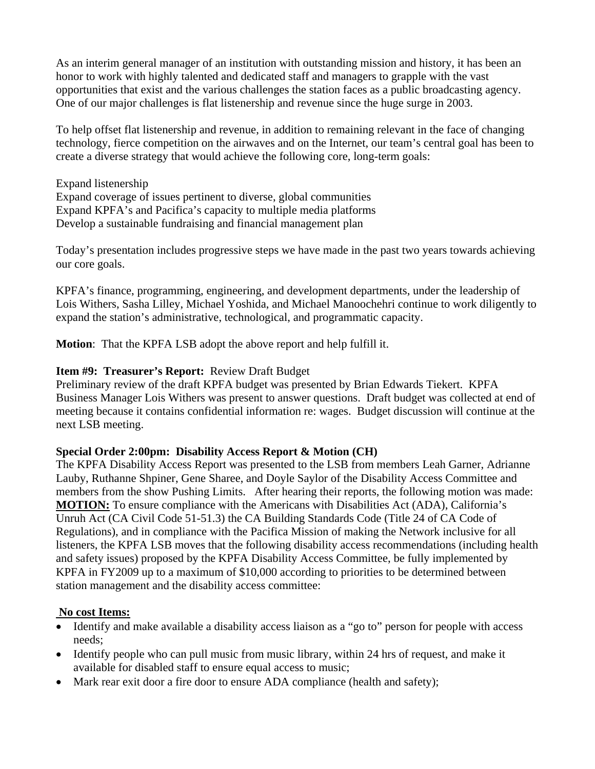As an interim general manager of an institution with outstanding mission and history, it has been an honor to work with highly talented and dedicated staff and managers to grapple with the vast opportunities that exist and the various challenges the station faces as a public broadcasting agency. One of our major challenges is flat listenership and revenue since the huge surge in 2003.

To help offset flat listenership and revenue, in addition to remaining relevant in the face of changing technology, fierce competition on the airwaves and on the Internet, our team's central goal has been to create a diverse strategy that would achieve the following core, long-term goals:

Expand listenership Expand coverage of issues pertinent to diverse, global communities Expand KPFA's and Pacifica's capacity to multiple media platforms Develop a sustainable fundraising and financial management plan

Today's presentation includes progressive steps we have made in the past two years towards achieving our core goals.

KPFA's finance, programming, engineering, and development departments, under the leadership of Lois Withers, Sasha Lilley, Michael Yoshida, and Michael Manoochehri continue to work diligently to expand the station's administrative, technological, and programmatic capacity.

**Motion**: That the KPFA LSB adopt the above report and help fulfill it.

# **Item #9: Treasurer's Report:** Review Draft Budget

Preliminary review of the draft KPFA budget was presented by Brian Edwards Tiekert. KPFA Business Manager Lois Withers was present to answer questions.Draft budget was collected at end of meeting because it contains confidential information re: wages. Budget discussion will continue at the next LSB meeting.

# **Special Order 2:00pm: Disability Access Report & Motion (CH)**

The KPFA Disability Access Report was presented to the LSB from members Leah Garner, Adrianne Lauby, Ruthanne Shpiner, Gene Sharee, and Doyle Saylor of the Disability Access Committee and members from the show Pushing Limits. After hearing their reports, the following motion was made: **MOTION:** To ensure compliance with the Americans with Disabilities Act (ADA), California's Unruh Act (CA Civil Code 51-51.3) the CA Building Standards Code (Title 24 of CA Code of Regulations), and in compliance with the Pacifica Mission of making the Network inclusive for all listeners, the KPFA LSB moves that the following disability access recommendations (including health and safety issues) proposed by the KPFA Disability Access Committee, be fully implemented by KPFA in FY2009 up to a maximum of \$10,000 according to priorities to be determined between station management and the disability access committee:

### **No cost Items:**

- Identify and make available a disability access liaison as a "go to" person for people with access needs;
- Identify people who can pull music from music library, within 24 hrs of request, and make it available for disabled staff to ensure equal access to music;
- Mark rear exit door a fire door to ensure ADA compliance (health and safety);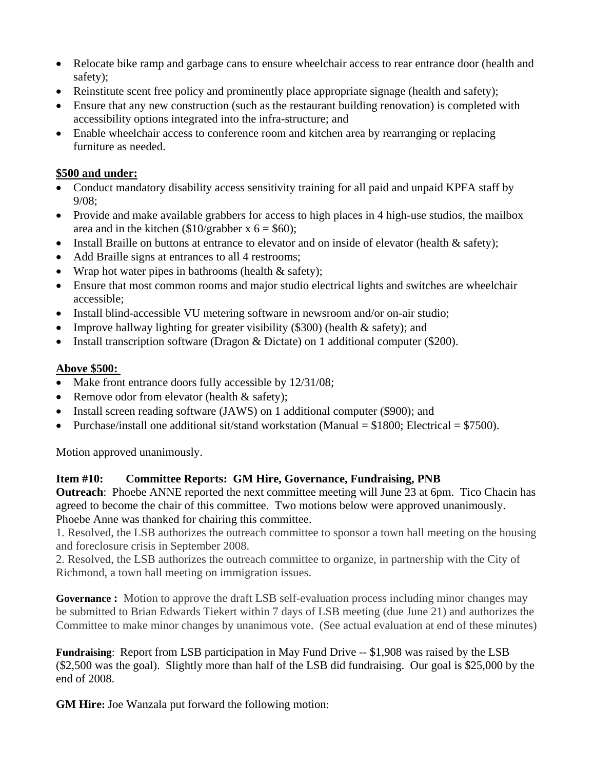- Relocate bike ramp and garbage cans to ensure wheelchair access to rear entrance door (health and safety);
- Reinstitute scent free policy and prominently place appropriate signage (health and safety);
- Ensure that any new construction (such as the restaurant building renovation) is completed with accessibility options integrated into the infra-structure; and
- Enable wheelchair access to conference room and kitchen area by rearranging or replacing furniture as needed.

## **\$500 and under:**

- Conduct mandatory disability access sensitivity training for all paid and unpaid KPFA staff by 9/08;
- Provide and make available grabbers for access to high places in 4 high-use studios, the mailbox area and in the kitchen  $(\$10/graph$ er x 6 = \$60);
- Install Braille on buttons at entrance to elevator and on inside of elevator (health & safety);
- Add Braille signs at entrances to all 4 restrooms;
- Wrap hot water pipes in bathrooms (health & safety);
- Ensure that most common rooms and major studio electrical lights and switches are wheelchair accessible;
- Install blind-accessible VU metering software in newsroom and/or on-air studio;
- Improve hallway lighting for greater visibility (\$300) (health  $\&$  safety); and
- Install transcription software (Dragon & Dictate) on 1 additional computer (\$200).

## **Above \$500:**

- Make front entrance doors fully accessible by 12/31/08;
- Remove odor from elevator (health & safety);
- Install screen reading software (JAWS) on 1 additional computer (\$900); and
- Purchase/install one additional sit/stand workstation (Manual  $= $1800$ ; Electrical  $= $7500$ ).

Motion approved unanimously.

# **Item #10: Committee Reports: GM Hire, Governance, Fundraising, PNB**

**Outreach**: Phoebe ANNE reported the next committee meeting will June 23 at 6pm. Tico Chacin has agreed to become the chair of this committee. Two motions below were approved unanimously. Phoebe Anne was thanked for chairing this committee.

1. Resolved, the LSB authorizes the outreach committee to sponsor a town hall meeting on the housing and foreclosure crisis in September 2008.

2. Resolved, the LSB authorizes the outreach committee to organize, in partnership with the City of Richmond, a town hall meeting on immigration issues.

**Governance :** Motion to approve the draft LSB self-evaluation process including minor changes may be submitted to Brian Edwards Tiekert within 7 days of LSB meeting (due June 21) and authorizes the Committee to make minor changes by unanimous vote. (See actual evaluation at end of these minutes)

**Fundraising**: Report from LSB participation in May Fund Drive -- \$1,908 was raised by the LSB (\$2,500 was the goal). Slightly more than half of the LSB did fundraising. Our goal is \$25,000 by the end of 2008.

**GM Hire:** Joe Wanzala put forward the following motion: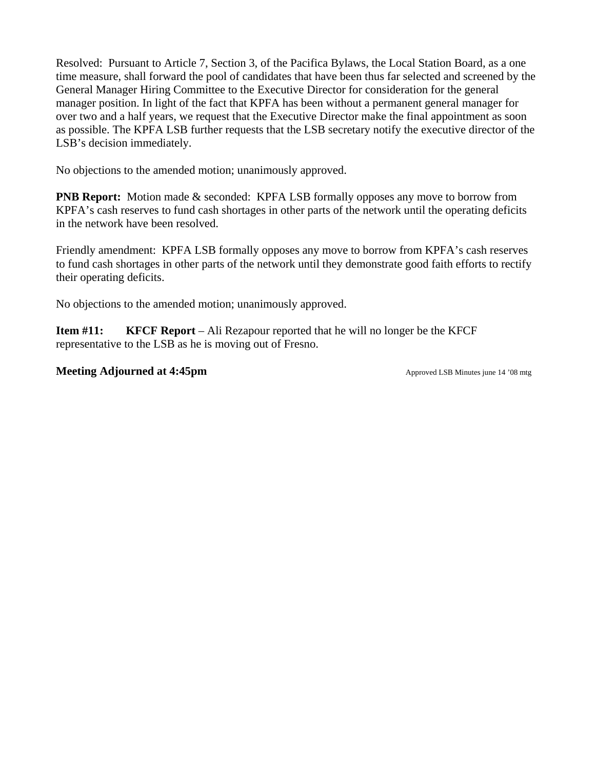Resolved: Pursuant to Article 7, Section 3, of the Pacifica Bylaws, the Local Station Board, as a one time measure, shall forward the pool of candidates that have been thus far selected and screened by the General Manager Hiring Committee to the Executive Director for consideration for the general manager position. In light of the fact that KPFA has been without a permanent general manager for over two and a half years, we request that the Executive Director make the final appointment as soon as possible. The KPFA LSB further requests that the LSB secretary notify the executive director of the LSB's decision immediately.

No objections to the amended motion; unanimously approved.

**PNB Report:** Motion made & seconded: KPFA LSB formally opposes any move to borrow from KPFA's cash reserves to fund cash shortages in other parts of the network until the operating deficits in the network have been resolved.

Friendly amendment: KPFA LSB formally opposes any move to borrow from KPFA's cash reserves to fund cash shortages in other parts of the network until they demonstrate good faith efforts to rectify their operating deficits.

No objections to the amended motion; unanimously approved.

**Item #11: KFCF Report** – Ali Rezapour reported that he will no longer be the KFCF representative to the LSB as he is moving out of Fresno.

**Meeting Adjourned at 4:45pm Approved LSB Minutes june 14 '08 mtg**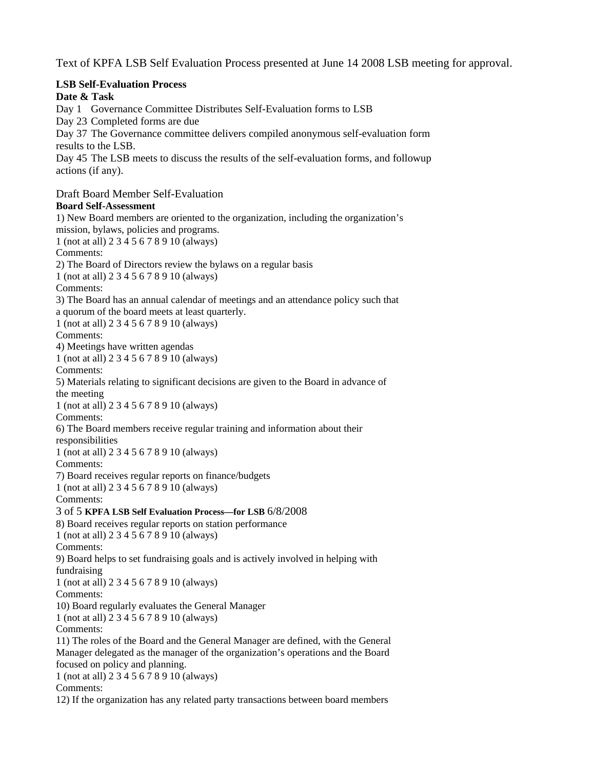Text of KPFA LSB Self Evaluation Process presented at June 14 2008 LSB meeting for approval.

### **LSB Self-Evaluation Process**

**Date & Task** 

Day 1 Governance Committee Distributes Self-Evaluation forms to LSB

Day 23 Completed forms are due

Day 37 The Governance committee delivers compiled anonymous self-evaluation form results to the LSB.

Day 45 The LSB meets to discuss the results of the self-evaluation forms, and followup actions (if any).

Draft Board Member Self-Evaluation

**Board Self-Assessment**  1) New Board members are oriented to the organization, including the organization's mission, bylaws, policies and programs. 1 (not at all) 2 3 4 5 6 7 8 9 10 (always) Comments: 2) The Board of Directors review the bylaws on a regular basis 1 (not at all) 2 3 4 5 6 7 8 9 10 (always) Comments: 3) The Board has an annual calendar of meetings and an attendance policy such that a quorum of the board meets at least quarterly. 1 (not at all) 2 3 4 5 6 7 8 9 10 (always) Comments: 4) Meetings have written agendas 1 (not at all) 2 3 4 5 6 7 8 9 10 (always) Comments: 5) Materials relating to significant decisions are given to the Board in advance of the meeting 1 (not at all) 2 3 4 5 6 7 8 9 10 (always) Comments: 6) The Board members receive regular training and information about their responsibilities 1 (not at all) 2 3 4 5 6 7 8 9 10 (always) Comments: 7) Board receives regular reports on finance/budgets 1 (not at all) 2 3 4 5 6 7 8 9 10 (always) Comments: 3 of 5 **KPFA LSB Self Evaluation Process—for LSB** 6/8/2008 8) Board receives regular reports on station performance 1 (not at all) 2 3 4 5 6 7 8 9 10 (always) Comments: 9) Board helps to set fundraising goals and is actively involved in helping with fundraising 1 (not at all) 2 3 4 5 6 7 8 9 10 (always) Comments: 10) Board regularly evaluates the General Manager 1 (not at all) 2 3 4 5 6 7 8 9 10 (always) Comments: 11) The roles of the Board and the General Manager are defined, with the General Manager delegated as the manager of the organization's operations and the Board focused on policy and planning. 1 (not at all) 2 3 4 5 6 7 8 9 10 (always) Comments:

12) If the organization has any related party transactions between board members